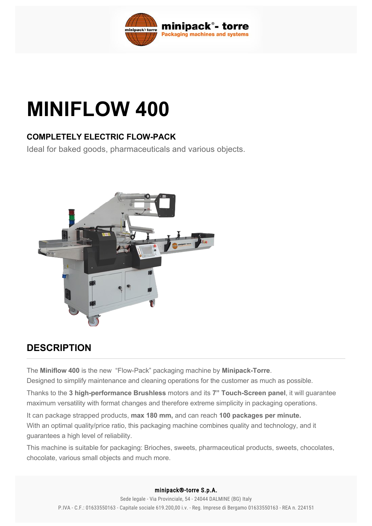

# **MINIFLOW 400**

## **COMPLETELY ELECTRIC FLOWPACK**

Ideal for baked goods, pharmaceuticals and various objects.



# **DESCRIPTION**

The **Miniflow 400** is the new "Flow-Pack" packaging machine by **Minipack-Torre**.

Designed to simplify maintenance and cleaning operations for the customer as much as possible.

Thanks to the 3 high-performance Brushless motors and its 7" Touch-Screen panel, it will guarantee maximum versatility with format changes and therefore extreme simplicity in packaging operations.

It can package strapped products, **max 180 mm,** and can reach **100 packages per minute.** With an optimal quality/price ratio, this packaging machine combines quality and technology, and it guarantees a high level of reliability.

This machine is suitable for packaging: Brioches, sweets, pharmaceutical products, sweets, chocolates, chocolate, various small objects and much more.

#### minipack®-torre S.p.A.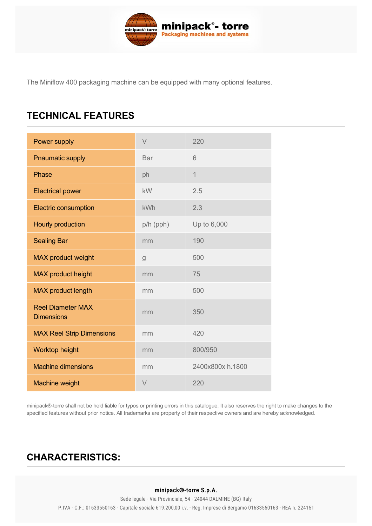

The Miniflow 400 packaging machine can be equipped with many optional features.

# **TECHNICAL FEATURES**

| Power supply                                  | $\vee$      | 220              |
|-----------------------------------------------|-------------|------------------|
| <b>Pnaumatic supply</b>                       | <b>Bar</b>  | 6                |
| Phase                                         | ph          | $\overline{1}$   |
| <b>Electrical power</b>                       | kW          | 2.5              |
| <b>Electric consumption</b>                   | <b>kWh</b>  | 2.3              |
| Hourly production                             | p/h (pph)   | Up to 6,000      |
| <b>Sealing Bar</b>                            | mm          | 190              |
| <b>MAX product weight</b>                     | $\mathsf g$ | 500              |
| MAX product height                            | mm          | 75               |
| <b>MAX</b> product length                     | mm          | 500              |
| <b>Reel Diameter MAX</b><br><b>Dimensions</b> | mm          | 350              |
| <b>MAX Reel Strip Dimensions</b>              | mm          | 420              |
| Worktop height                                | mm          | 800/950          |
| <b>Machine dimensions</b>                     | mm          | 2400x800x h.1800 |
| <b>Machine weight</b>                         | $\vee$      | 220              |

minipack®torre shall not be held liable for typos or printing errors in this catalogue. It also reserves the right to make changes to the specified features without prior notice. All trademarks are property of their respective owners and are hereby acknowledged.

# <span id="page-1-0"></span>**[CHARACTERISTICS:](#page-1-0)**

## Easy inspection for maintenance and cleaning of roller unit minipack®-torre S.p.A.

Sede legale - Via Provinciale, 54 - 24044 DALMINE (BG) Italy 3 brushless motors P.IVA - C.F.: 01633550163 - Capitale sociale 619.200,00 i.v. - Reg. Imprese di Bergamo 01633550163 - REA n. 224151